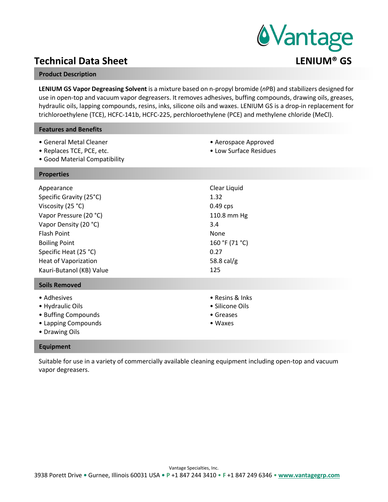# **Technical Data Sheet Contract Contract Contract Contract Contract Contract Contract Contract Contract Contract Contract Contract Contract Contract Contract Contract Contract Contract Contract Contract Contract Contract Co**

### **Product Description**

**LENIUM GS Vapor Degreasing Solvent** is a mixture based on n-propyl bromide (*n*PB) and stabilizers designed for use in open-top and vacuum vapor degreasers. It removes adhesives, buffing compounds, drawing oils, greases, hydraulic oils, lapping compounds, resins, inks, silicone oils and waxes. LENIUM GS is a drop-in replacement for trichloroethylene (TCE), HCFC-141b, HCFC-225, perchloroethylene (PCE) and methylene chloride (MeCl).

> • Aerospace Approved • Low Surface Residues

### **Features and Benefits**

- General Metal Cleaner
- Replaces TCE, PCE, etc.
- Good Material Compatibility

### **Properties**

| Appearance<br>Specific Gravity (25°C)<br>Viscosity (25 °C)<br>Vapor Pressure (20 °C)<br>Vapor Density (20 °C)<br><b>Flash Point</b><br><b>Boiling Point</b><br>Specific Heat (25 °C)<br><b>Heat of Vaporization</b><br>Kauri-Butanol (KB) Value | Clear Liquid<br>1.32<br>$0.49$ cps<br>110.8 mm Hg<br>3.4<br><b>None</b><br>160 °F (71 °C)<br>0.27<br>58.8 cal/g<br>125 |
|-------------------------------------------------------------------------------------------------------------------------------------------------------------------------------------------------------------------------------------------------|------------------------------------------------------------------------------------------------------------------------|
| <b>Soils Removed</b>                                                                                                                                                                                                                            |                                                                                                                        |
| • Adhesives<br>• Hydraulic Oils<br>• Buffing Compounds<br>• Lapping Compounds<br>• Drawing Oils                                                                                                                                                 | • Resins & Inks<br>• Silicone Oils<br>• Greases<br>$\bullet$ Waxes                                                     |

### **Equipment**

Suitable for use in a variety of commercially available cleaning equipment including open-top and vacuum vapor degreasers.

# *<u>AVantage</u>*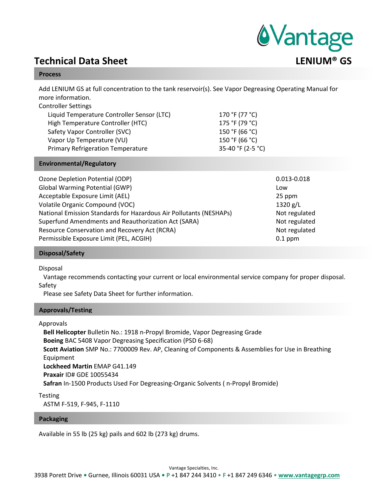

### **Process**

Add LENIUM GS at full concentration to the tank reservoir(s). See Vapor Degreasing Operating Manual for more information.

| 170 °F (77 °C)    |
|-------------------|
| 175 °F (79 °C)    |
| 150 °F (66 °C)    |
| 150 °F (66 °C)    |
| 35-40 °F (2-5 °C) |
|                   |

# **Environmental/Regulatory**

| Ozone Depletion Potential (ODP)                                    | 0.013-0.018   |
|--------------------------------------------------------------------|---------------|
| <b>Global Warming Potential (GWP)</b>                              | Low           |
| Acceptable Exposure Limit (AEL)                                    | 25 ppm        |
| Volatile Organic Compound (VOC)                                    | 1320 g/L      |
| National Emission Standards for Hazardous Air Pollutants (NESHAPs) | Not regulated |
| Superfund Amendments and Reauthorization Act (SARA)                | Not regulated |
| Resource Conservation and Recovery Act (RCRA)                      | Not regulated |
| Permissible Exposure Limit (PEL, ACGIH)                            | $0.1$ ppm     |

### **Disposal/Safety**

Disposal

Vantage recommends contacting your current or local environmental service company for proper disposal. Safety

Please see Safety Data Sheet for further information.

### **Approvals/Testing**

Approvals

**Bell Helicopter** Bulletin No.: 1918 n-Propyl Bromide, Vapor Degreasing Grade **Boeing** BAC 5408 Vapor Degreasing Specification (PSD 6-68) **Scott Aviation** SMP No.: 7700009 Rev. AP, Cleaning of Components & Assemblies for Use in Breathing Equipment **Lockheed Martin** EMAP G41.149 **Praxair** ID# GDE 10055434 **Safran** In-1500 Products Used For Degreasing-Organic Solvents ( n-Propyl Bromide)

Testing ASTM F-519, F-945, F-1110

### **Packaging**

Available in 55 lb (25 kg) pails and 602 lb (273 kg) drums.